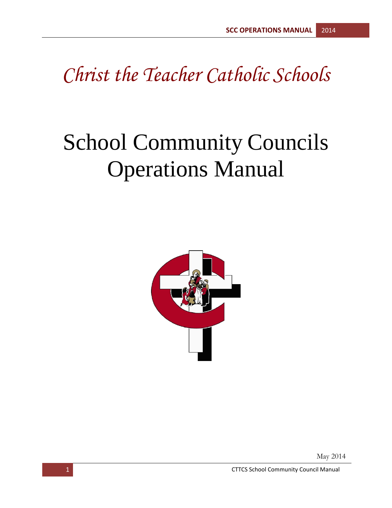## *Christ the Teacher Catholic Schools*

# School Community Councils Operations Manual



May 2014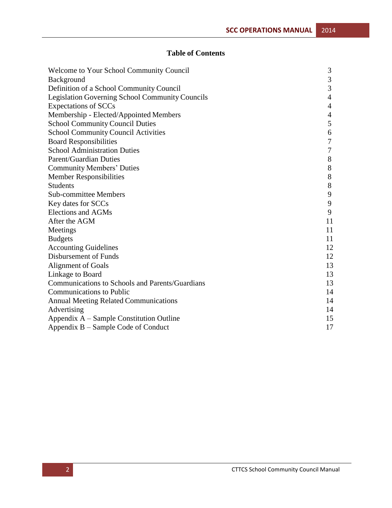#### **Table of Contents**

| Welcome to Your School Community Council        | 3              |
|-------------------------------------------------|----------------|
| Background                                      | $\mathfrak{Z}$ |
| Definition of a School Community Council        | $\mathfrak{Z}$ |
| Legislation Governing School Community Councils | $\overline{4}$ |
| <b>Expectations of SCCs</b>                     | $\overline{4}$ |
| Membership - Elected/Appointed Members          | $\overline{4}$ |
| <b>School Community Council Duties</b>          | 5              |
| <b>School Community Council Activities</b>      | 6              |
| <b>Board Responsibilities</b>                   | $\overline{7}$ |
| <b>School Administration Duties</b>             | $\overline{7}$ |
| <b>Parent/Guardian Duties</b>                   | 8              |
| <b>Community Members' Duties</b>                | 8              |
| <b>Member Responsibilities</b>                  | 8              |
| <b>Students</b>                                 | 8              |
| <b>Sub-committee Members</b>                    | 9              |
| Key dates for SCCs                              | 9              |
| <b>Elections and AGMs</b>                       | 9              |
| After the AGM                                   | 11             |
| Meetings                                        | 11             |
| <b>Budgets</b>                                  | 11             |
| <b>Accounting Guidelines</b>                    | 12             |
| Disbursement of Funds                           | 12             |
| <b>Alignment of Goals</b>                       | 13             |
| Linkage to Board                                | 13             |
| Communications to Schools and Parents/Guardians | 13             |
| <b>Communications to Public</b>                 | 14             |
| <b>Annual Meeting Related Communications</b>    | 14             |
| Advertising                                     | 14             |
| Appendix A - Sample Constitution Outline        | 15             |
| Appendix B – Sample Code of Conduct             | 17             |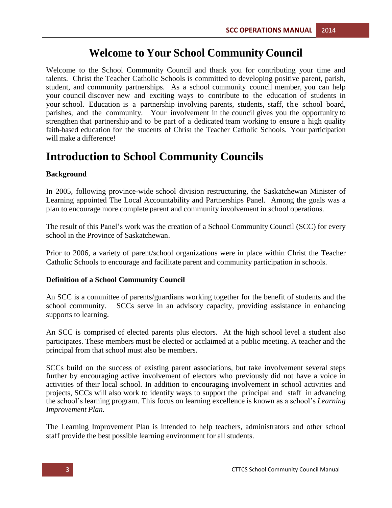## **Welcome to Your School Community Council**

Welcome to the School Community Council and thank you for contributing your time and talents. Christ the Teacher Catholic Schools is committed to developing positive parent, parish, student, and community partnerships. As a school community council member, you can help your council discover new and exciting ways to contribute to the education of students in your school. Education is a partnership involving parents, students, staff, the school board, parishes, and the community. Your involvement in the council gives you the opportunity to strengthen that partnership and to be part of a dedicated team working to ensure a high quality faith-based education for the students of Christ the Teacher Catholic Schools. Your participation will make a difference!

## **Introduction to School Community Councils**

#### **Background**

In 2005, following province-wide school division restructuring, the Saskatchewan Minister of Learning appointed The Local Accountability and Partnerships Panel. Among the goals was a plan to encourage more complete parent and community involvement in school operations.

The result of this Panel's work was the creation of a School Community Council (SCC) for every school in the Province of Saskatchewan.

Prior to 2006, a variety of parent/school organizations were in place within Christ the Teacher Catholic Schools to encourage and facilitate parent and community participation in schools.

#### **Definition of a School Community Council**

An SCC is a committee of parents/guardians working together for the benefit of students and the school community. SCCs serve in an advisory capacity, providing assistance in enhancing supports to learning.

An SCC is comprised of elected parents plus electors. At the high school level a student also participates. These members must be elected or acclaimed at a public meeting. A teacher and the principal from that school must also be members.

SCCs build on the success of existing parent associations, but take involvement several steps further by encouraging active involvement of electors who previously did not have a voice in activities of their local school. In addition to encouraging involvement in school activities and projects, SCCs will also work to identify ways to support the principal and staff in advancing the school's learning program. This focus on learning excellence is known as a school's *Learning Improvement Plan.*

The Learning Improvement Plan is intended to help teachers, administrators and other school staff provide the best possible learning environment for all students.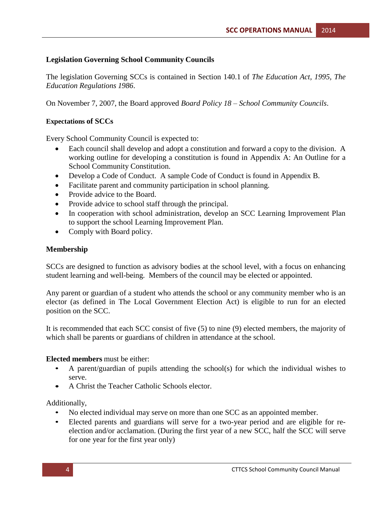#### **Legislation Governing School Community Councils**

The legislation Governing SCCs is contained in Section 140.1 of *The Education Act, 1995, The Education Regulations 1986*.

On November 7, 2007, the Board approved *Board Policy 18 – School Community Councils*.

#### **Expectations of SCCs**

Every School Community Council is expected to:

- Each council shall develop and adopt a constitution and forward a copy to the division. A working outline for developing a constitution is found in Appendix A: An Outline for a School Community Constitution.
- Develop a Code of Conduct. A sample Code of Conduct is found in Appendix B.
- Facilitate parent and community participation in school planning.
- Provide advice to the Board.
- Provide advice to school staff through the principal.
- In cooperation with school administration, develop an SCC Learning Improvement Plan to support the school Learning Improvement Plan.
- Comply with Board policy.

#### **Membership**

SCCs are designed to function as advisory bodies at the school level, with a focus on enhancing student learning and well-being. Members of the council may be elected or appointed.

Any parent or guardian of a student who attends the school or any community member who is an elector (as defined in The Local Government Election Act) is eligible to run for an elected position on the SCC.

It is recommended that each SCC consist of five (5) to nine (9) elected members, the majority of which shall be parents or guardians of children in attendance at the school.

#### **Elected members** must be either:

- A parent/guardian of pupils attending the school(s) for which the individual wishes to serve.
- A Christ the Teacher Catholic Schools elector.

Additionally,

- No elected individual may serve on more than one SCC as an appointed member.
- Elected parents and guardians will serve for a two-year period and are eligible for reelection and/or acclamation. (During the first year of a new SCC, half the SCC will serve for one year for the first year only)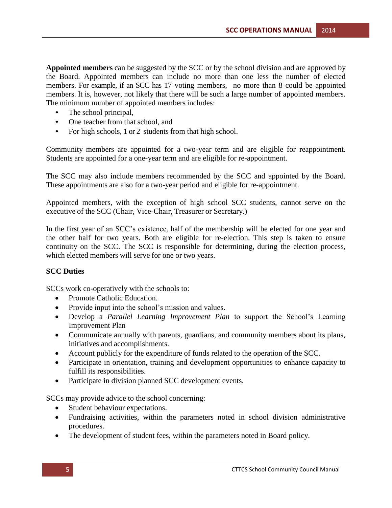**Appointed members** can be suggested by the SCC or by the school division and are approved by the Board. Appointed members can include no more than one less the number of elected members. For example, if an SCC has 17 voting members, no more than 8 could be appointed members. It is, however, not likely that there will be such a large number of appointed members. The minimum number of appointed members includes:

- The school principal,
- One teacher from that school, and
- For high schools, 1 or 2 students from that high school.

Community members are appointed for a two-year term and are eligible for reappointment. Students are appointed for a one-year term and are eligible for re-appointment.

The SCC may also include members recommended by the SCC and appointed by the Board. These appointments are also for a two-year period and eligible for re-appointment.

Appointed members, with the exception of high school SCC students, cannot serve on the executive of the SCC (Chair, Vice-Chair, Treasurer or Secretary.)

In the first year of an SCC's existence, half of the membership will be elected for one year and the other half for two years. Both are eligible for re-election. This step is taken to ensure continuity on the SCC. The SCC is responsible for determining, during the election process, which elected members will serve for one or two years.

#### **SCC Duties**

SCCs work co-operatively with the schools to:

- Promote Catholic Education.
- Provide input into the school's mission and values.
- Develop a *Parallel Learning Improvement Plan* to support the School's Learning Improvement Plan
- Communicate annually with parents, guardians, and community members about its plans, initiatives and accomplishments.
- Account publicly for the expenditure of funds related to the operation of the SCC.
- Participate in orientation, training and development opportunities to enhance capacity to fulfill its responsibilities.
- Participate in division planned SCC development events.

SCCs may provide advice to the school concerning:

- Student behaviour expectations.
- Fundraising activities, within the parameters noted in school division administrative procedures.
- The development of student fees, within the parameters noted in Board policy.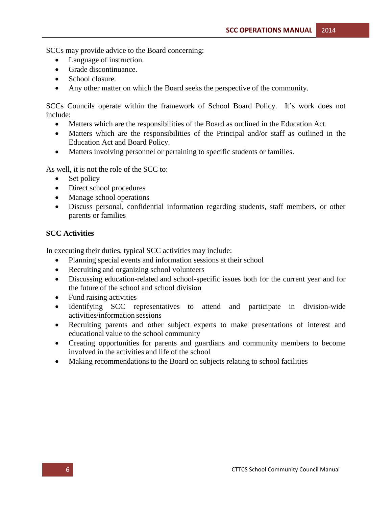SCCs may provide advice to the Board concerning:

- Language of instruction.
- Grade discontinuance.
- School closure.
- Any other matter on which the Board seeks the perspective of the community.

SCCs Councils operate within the framework of School Board Policy. It's work does not include:

- Matters which are the responsibilities of the Board as outlined in the Education Act.
- Matters which are the responsibilities of the Principal and/or staff as outlined in the Education Act and Board Policy.
- Matters involving personnel or pertaining to specific students or families.

As well, it is not the role of the SCC to:

- Set policy
- Direct school procedures
- Manage school operations
- Discuss personal, confidential information regarding students, staff members, or other parents or families

#### **SCC Activities**

In executing their duties, typical SCC activities may include:

- Planning special events and information sessions at their school
- Recruiting and organizing school volunteers
- Discussing education-related and school-specific issues both for the current year and for the future of the school and school division
- Fund raising activities
- Identifying SCC representatives to attend and participate in division-wide activities/information sessions
- Recruiting parents and other subject experts to make presentations of interest and educational value to the school community
- Creating opportunities for parents and guardians and community members to become involved in the activities and life of the school
- Making recommendations to the Board on subjects relating to school facilities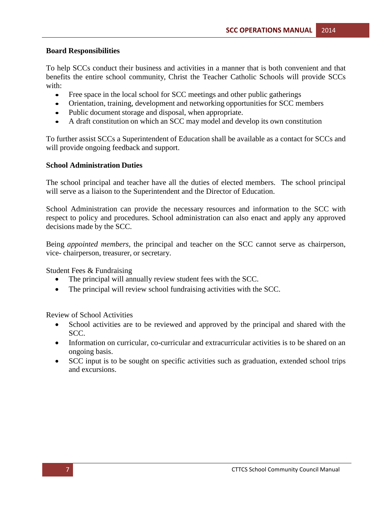#### **Board Responsibilities**

To help SCCs conduct their business and activities in a manner that is both convenient and that benefits the entire school community, Christ the Teacher Catholic Schools will provide SCCs with:

- Free space in the local school for SCC meetings and other public gatherings
- Orientation, training, development and networking opportunities for SCC members
- Public document storage and disposal, when appropriate.
- A draft constitution on which an SCC may model and develop its own constitution

To further assist SCCs a Superintendent of Education shall be available as a contact for SCCs and will provide ongoing feedback and support.

#### **School Administration Duties**

The school principal and teacher have all the duties of elected members. The school principal will serve as a liaison to the Superintendent and the Director of Education.

School Administration can provide the necessary resources and information to the SCC with respect to policy and procedures. School administration can also enact and apply any approved decisions made by the SCC.

Being *appointed members,* the principal and teacher on the SCC cannot serve as chairperson, vice- chairperson, treasurer, or secretary.

Student Fees & Fundraising

- The principal will annually review student fees with the SCC.
- The principal will review school fundraising activities with the SCC.

Review of School Activities

- School activities are to be reviewed and approved by the principal and shared with the SCC.
- Information on curricular, co-curricular and extracurricular activities is to be shared on an ongoing basis.
- SCC input is to be sought on specific activities such as graduation, extended school trips and excursions.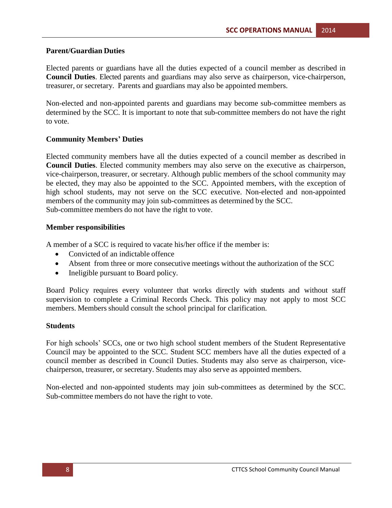#### **Parent/Guardian Duties**

Elected parents or guardians have all the duties expected of a council member as described in **Council Duties**. Elected parents and guardians may also serve as chairperson, vice-chairperson, treasurer, or secretary. Parents and guardians may also be appointed members.

Non-elected and non-appointed parents and guardians may become sub-committee members as determined by the SCC. It is important to note that sub-committee members do not have the right to vote.

#### **Community Members' Duties**

Elected community members have all the duties expected of a council member as described in **Council Duties**. Elected community members may also serve on the executive as chairperson, vice-chairperson, treasurer, or secretary. Although public members of the school community may be elected, they may also be appointed to the SCC. Appointed members, with the exception of high school students, may not serve on the SCC executive. Non-elected and non-appointed members of the community may join sub-committees as determined by the SCC. Sub-committee members do not have the right to vote.

#### **Member responsibilities**

A member of a SCC is required to vacate his/her office if the member is:

- Convicted of an indictable offence
- Absent from three or more consecutive meetings without the authorization of the SCC
- Ineligible pursuant to Board policy.

Board Policy requires every volunteer that works directly with students and without staff supervision to complete a Criminal Records Check. This policy may not apply to most SCC members. Members should consult the school principal for clarification.

#### **Students**

For high schools' SCCs, one or two high school student members of the Student Representative Council may be appointed to the SCC. Student SCC members have all the duties expected of a council member as described in Council Duties. Students may also serve as chairperson, vicechairperson, treasurer, or secretary. Students may also serve as appointed members.

Non-elected and non-appointed students may join sub-committees as determined by the SCC. Sub-committee members do not have the right to vote.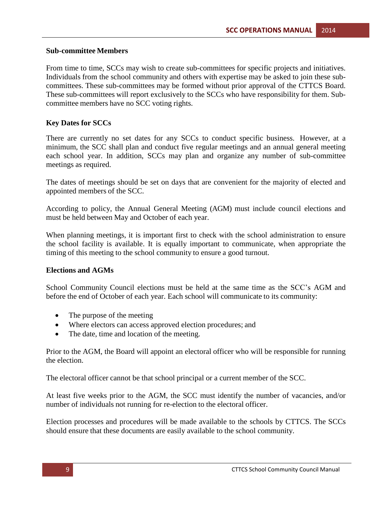#### **Sub-committee Members**

From time to time, SCCs may wish to create sub-committees for specific projects and initiatives. Individuals from the school community and others with expertise may be asked to join these subcommittees. These sub-committees may be formed without prior approval of the CTTCS Board. These sub-committees will report exclusively to the SCCs who have responsibility for them. Subcommittee members have no SCC voting rights.

#### **Key Dates for SCCs**

There are currently no set dates for any SCCs to conduct specific business. However, at a minimum, the SCC shall plan and conduct five regular meetings and an annual general meeting each school year. In addition, SCCs may plan and organize any number of sub-committee meetings as required.

The dates of meetings should be set on days that are convenient for the majority of elected and appointed members of the SCC.

According to policy, the Annual General Meeting (AGM) must include council elections and must be held between May and October of each year.

When planning meetings, it is important first to check with the school administration to ensure the school facility is available. It is equally important to communicate, when appropriate the timing of this meeting to the school community to ensure a good turnout.

#### **Elections and AGMs**

School Community Council elections must be held at the same time as the SCC's AGM and before the end of October of each year. Each school will communicate to its community:

- The purpose of the meeting
- Where electors can access approved election procedures; and
- The date, time and location of the meeting.

Prior to the AGM, the Board will appoint an electoral officer who will be responsible for running the election.

The electoral officer cannot be that school principal or a current member of the SCC.

At least five weeks prior to the AGM, the SCC must identify the number of vacancies, and/or number of individuals not running for re-election to the electoral officer.

Election processes and procedures will be made available to the schools by CTTCS. The SCCs should ensure that these documents are easily available to the school community.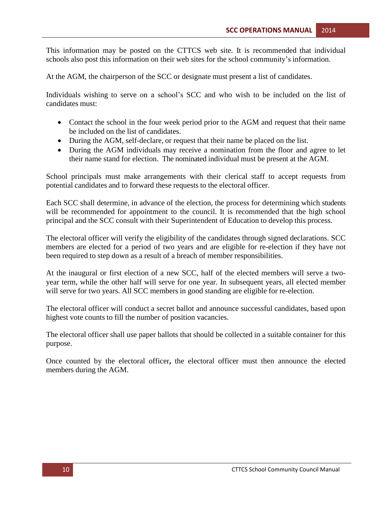This information may be posted on the CTTCS web site. It is recommended that individual schools also post this information on their web sites for the school community's information.

At the AGM, the chairperson of the SCC or designate must present a list of candidates.

Individuals wishing to serve on a school's SCC and who wish to be included on the list of candidates must:

- Contact the school in the four week period prior to the AGM and request that their name be included on the list of candidates.
- During the AGM, self-declare, or request that their name be placed on the list.
- During the AGM individuals may receive a nomination from the floor and agree to let their name stand for election. The nominated individual must be present at the AGM.

School principals must make arrangements with their clerical staff to accept requests from potential candidates and to forward these requests to the electoral officer.

Each SCC shall determine, in advance of the election, the process for determining which students will be recommended for appointment to the council. It is recommended that the high school principal and the SCC consult with their Superintendent of Education to develop this process.

The electoral officer will verify the eligibility of the candidates through signed declarations. SCC members are elected for a period of two years and are eligible for re-election if they have not been required to step down as a result of a breach of member responsibilities.

At the inaugural or first election of a new SCC, half of the elected members will serve a twoyear term, while the other half will serve for one year. In subsequent years, all elected member will serve for two years. All SCC members in good standing are eligible for re-election.

The electoral officer will conduct a secret ballot and announce successful candidates, based upon highest vote counts to fill the number of position vacancies.

The electoral officer shall use paper ballots that should be collected in a suitable container for this purpose.

Once counted by the electoral officer**,** the electoral officer must then announce the elected members during the AGM.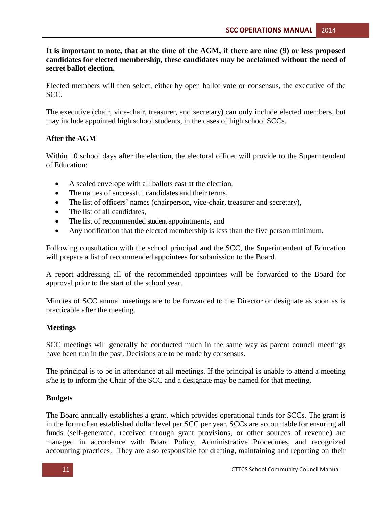**It is important to note, that at the time of the AGM, if there are nine (9) or less proposed candidates for elected membership, these candidates may be acclaimed without the need of secret ballot election.**

Elected members will then select, either by open ballot vote or consensus, the executive of the SCC.

The executive (chair, vice-chair, treasurer, and secretary) can only include elected members, but may include appointed high school students, in the cases of high school SCCs.

#### **After the AGM**

Within 10 school days after the election, the electoral officer will provide to the Superintendent of Education:

- A sealed envelope with all ballots cast at the election,
- The names of successful candidates and their terms,
- The list of officers' names (chairperson, vice-chair, treasurer and secretary),
- The list of all candidates,
- The list of recommended student appointments, and
- Any notification that the elected membership is less than the five person minimum.

Following consultation with the school principal and the SCC, the Superintendent of Education will prepare a list of recommended appointees for submission to the Board.

A report addressing all of the recommended appointees will be forwarded to the Board for approval prior to the start of the school year.

Minutes of SCC annual meetings are to be forwarded to the Director or designate as soon as is practicable after the meeting.

#### **Meetings**

SCC meetings will generally be conducted much in the same way as parent council meetings have been run in the past. Decisions are to be made by consensus.

The principal is to be in attendance at all meetings. If the principal is unable to attend a meeting s/he is to inform the Chair of the SCC and a designate may be named for that meeting.

#### **Budgets**

The Board annually establishes a grant, which provides operational funds for SCCs. The grant is in the form of an established dollar level per SCC per year. SCCs are accountable for ensuring all funds (self-generated, received through grant provisions, or other sources of revenue) are managed in accordance with Board Policy, Administrative Procedures, and recognized accounting practices. They are also responsible for drafting, maintaining and reporting on their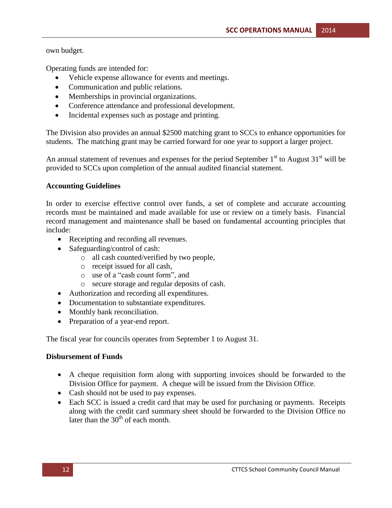own budget.

Operating funds are intended for:

- Vehicle expense allowance for events and meetings.
- Communication and public relations.
- Memberships in provincial organizations.
- Conference attendance and professional development.
- Incidental expenses such as postage and printing.

The Division also provides an annual \$2500 matching grant to SCCs to enhance opportunities for students. The matching grant may be carried forward for one year to support a larger project.

An annual statement of revenues and expenses for the period September  $1<sup>st</sup>$  to August  $31<sup>st</sup>$  will be provided to SCCs upon completion of the annual audited financial statement.

#### **Accounting Guidelines**

In order to exercise effective control over funds, a set of complete and accurate accounting records must be maintained and made available for use or review on a timely basis. Financial record management and maintenance shall be based on fundamental accounting principles that include:

- Receipting and recording all revenues.
- Safeguarding/control of cash:
	- o all cash counted/verified by two people,
	- o receipt issued for all cash,
	- o use of a "cash count form", and
	- o secure storage and regular deposits of cash.
- Authorization and recording all expenditures.
- Documentation to substantiate expenditures.
- Monthly bank reconciliation.
- Preparation of a year-end report.

The fiscal year for councils operates from September 1 to August 31.

#### **Disbursement of Funds**

- A cheque requisition form along with supporting invoices should be forwarded to the Division Office for payment. A cheque will be issued from the Division Office.
- Cash should not be used to pay expenses.
- Each SCC is issued a credit card that may be used for purchasing or payments. Receipts along with the credit card summary sheet should be forwarded to the Division Office no later than the  $30<sup>th</sup>$  of each month.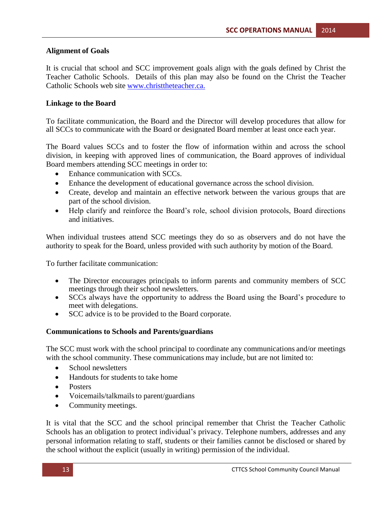#### **Alignment of Goals**

It is crucial that school and SCC improvement goals align with the goals defined by Christ the Teacher Catholic Schools.Details of this plan may also be found on the Christ the Teacher Catholic Schools web site [www.christtheteacher.ca.](http://www.christtheteacher.ca./)

#### **Linkage to the Board**

To facilitate communication, the Board and the Director will develop procedures that allow for all SCCs to communicate with the Board or designated Board member at least once each year.

The Board values SCCs and to foster the flow of information within and across the school division, in keeping with approved lines of communication, the Board approves of individual Board members attending SCC meetings in order to:

- Enhance communication with SCCs.
- Enhance the development of educational governance across the school division.
- Create, develop and maintain an effective network between the various groups that are part of the school division.
- Help clarify and reinforce the Board's role, school division protocols, Board directions and initiatives.

When individual trustees attend SCC meetings they do so as observers and do not have the authority to speak for the Board, unless provided with such authority by motion of the Board.

To further facilitate communication:

- The Director encourages principals to inform parents and community members of SCC meetings through their school newsletters.
- SCCs always have the opportunity to address the Board using the Board's procedure to meet with delegations.
- SCC advice is to be provided to the Board corporate.

#### **Communications to Schools and Parents/guardians**

The SCC must work with the school principal to coordinate any communications and/or meetings with the school community. These communications may include, but are not limited to:

- School newsletters
- Handouts for students to take home
- Posters
- $\bullet$  Voicemails/talkmails to parent/guardians
- Community meetings.

It is vital that the SCC and the school principal remember that Christ the Teacher Catholic Schools has an obligation to protect individual's privacy. Telephone numbers, addresses and any personal information relating to staff, students or their families cannot be disclosed or shared by the school without the explicit (usually in writing) permission of the individual.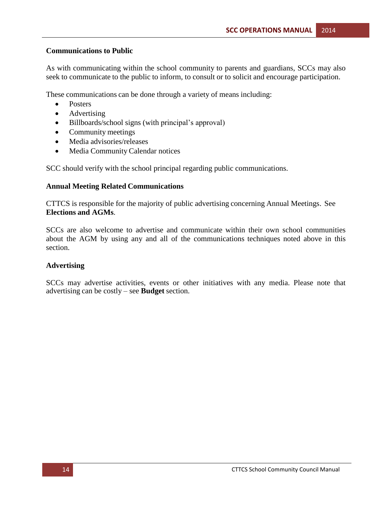#### **Communications to Public**

As with communicating within the school community to parents and guardians, SCCs may also seek to communicate to the public to inform, to consult or to solicit and encourage participation.

These communications can be done through a variety of means including:

- Posters
- Advertising
- Billboards/school signs (with principal's approval)
- Community meetings
- Media advisories/releases
- Media Community Calendar notices

SCC should verify with the school principal regarding public communications.

#### **Annual Meeting Related Communications**

CTTCS is responsible for the majority of public advertising concerning Annual Meetings. See **Elections and AGMs**.

SCCs are also welcome to advertise and communicate within their own school communities about the AGM by using any and all of the communications techniques noted above in this section.

#### **Advertising**

SCCs may advertise activities, events or other initiatives with any media. Please note that advertising can be costly – see **Budget** section.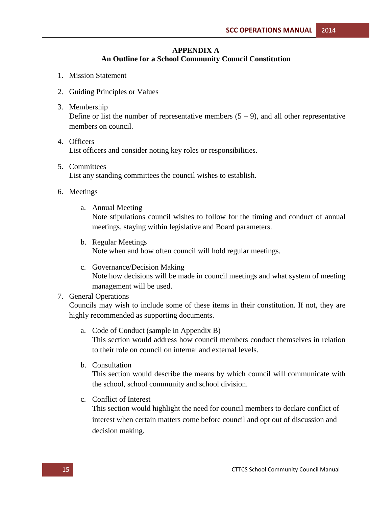#### **APPENDIX A**

#### **An Outline for a School Community Council Constitution**

- 1. Mission Statement
- 2. Guiding Principles or Values
- 3. Membership

Define or list the number of representative members  $(5 - 9)$ , and all other representative members on council.

- 4. Officers List officers and consider noting key roles or responsibilities.
- 5. Committees List any standing committees the council wishes to establish.
- 6. Meetings
	- a. Annual Meeting

Note stipulations council wishes to follow for the timing and conduct of annual meetings, staying within legislative and Board parameters.

- b. Regular Meetings Note when and how often council will hold regular meetings.
- c. Governance/Decision Making Note how decisions will be made in council meetings and what system of meeting management will be used.

#### 7. General Operations

Councils may wish to include some of these items in their constitution. If not, they are highly recommended as supporting documents.

- a. Code of Conduct (sample in Appendix B) This section would address how council members conduct themselves in relation to their role on council on internal and external levels.
- b. Consultation

This section would describe the means by which council will communicate with the school, school community and school division.

c. Conflict of Interest

This section would highlight the need for council members to declare conflict of interest when certain matters come before council and opt out of discussion and decision making.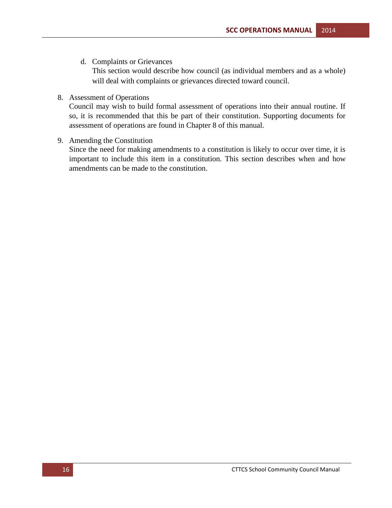d. Complaints or Grievances

This section would describe how council (as individual members and as a whole) will deal with complaints or grievances directed toward council.

8. Assessment of Operations

Council may wish to build formal assessment of operations into their annual routine. If so, it is recommended that this be part of their constitution. Supporting documents for assessment of operations are found in Chapter 8 of this manual.

9. Amending the Constitution

Since the need for making amendments to a constitution is likely to occur over time, it is important to include this item in a constitution. This section describes when and how amendments can be made to the constitution.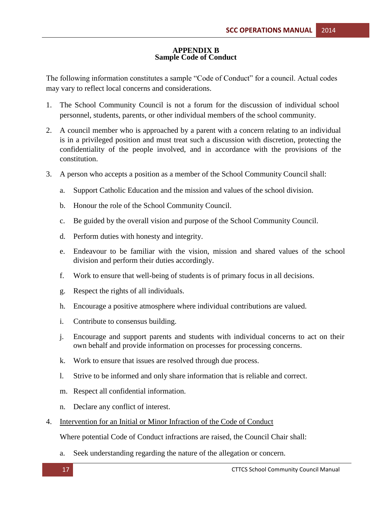#### **APPENDIX B Sample Code of Conduct**

The following information constitutes a sample "Code of Conduct" for a council. Actual codes may vary to reflect local concerns and considerations.

- 1. The School Community Council is not a forum for the discussion of individual school personnel, students, parents, or other individual members of the school community.
- 2. A council member who is approached by a parent with a concern relating to an individual is in a privileged position and must treat such a discussion with discretion, protecting the confidentiality of the people involved, and in accordance with the provisions of the constitution.
- 3. A person who accepts a position as a member of the School Community Council shall:
	- a. Support Catholic Education and the mission and values of the school division.
	- b. Honour the role of the School Community Council.
	- c. Be guided by the overall vision and purpose of the School Community Council.
	- d. Perform duties with honesty and integrity.
	- e. Endeavour to be familiar with the vision, mission and shared values of the school division and perform their duties accordingly.
	- f. Work to ensure that well-being of students is of primary focus in all decisions.
	- g. Respect the rights of all individuals.
	- h. Encourage a positive atmosphere where individual contributions are valued.
	- i. Contribute to consensus building.
	- j. Encourage and support parents and students with individual concerns to act on their own behalf and provide information on processes for processing concerns.
	- k. Work to ensure that issues are resolved through due process.
	- l. Strive to be informed and only share information that is reliable and correct.
	- m. Respect all confidential information.
	- n. Declare any conflict of interest.
- 4. Intervention for an Initial or Minor Infraction of the Code of Conduct

Where potential Code of Conduct infractions are raised, the Council Chair shall:

a. Seek understanding regarding the nature of the allegation or concern.